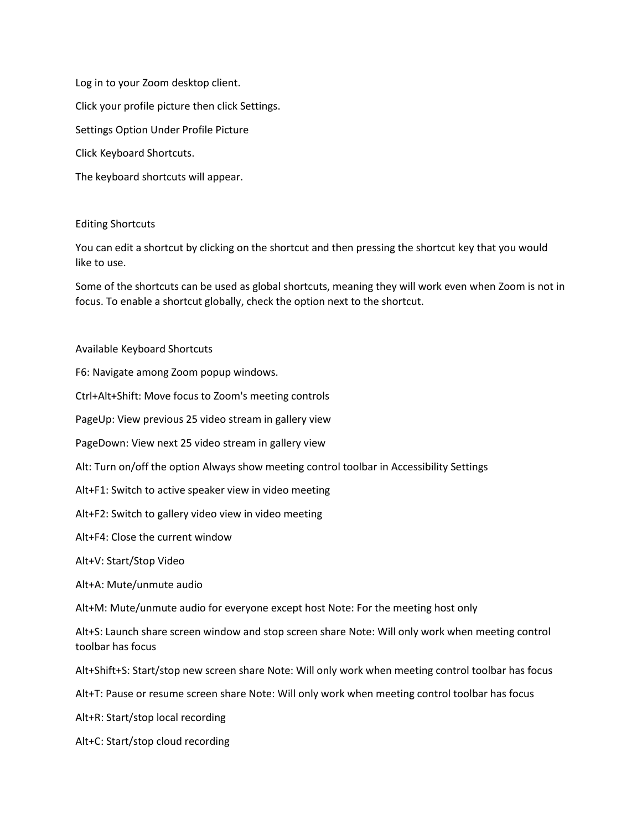Log in to your Zoom desktop client. Click your profile picture then click Settings. Settings Option Under Profile Picture Click Keyboard Shortcuts. The keyboard shortcuts will appear.

## Editing Shortcuts

You can edit a shortcut by clicking on the shortcut and then pressing the shortcut key that you would like to use.

Some of the shortcuts can be used as global shortcuts, meaning they will work even when Zoom is not in focus. To enable a shortcut globally, check the option next to the shortcut.

## Available Keyboard Shortcuts

F6: Navigate among Zoom popup windows.

Ctrl+Alt+Shift: Move focus to Zoom's meeting controls

PageUp: View previous 25 video stream in gallery view

PageDown: View next 25 video stream in gallery view

Alt: Turn on/off the option Always show meeting control toolbar in Accessibility Settings

Alt+F1: Switch to active speaker view in video meeting

Alt+F2: Switch to gallery video view in video meeting

Alt+F4: Close the current window

Alt+V: Start/Stop Video

Alt+A: Mute/unmute audio

Alt+M: Mute/unmute audio for everyone except host Note: For the meeting host only

Alt+S: Launch share screen window and stop screen share Note: Will only work when meeting control toolbar has focus

Alt+Shift+S: Start/stop new screen share Note: Will only work when meeting control toolbar has focus

Alt+T: Pause or resume screen share Note: Will only work when meeting control toolbar has focus

Alt+R: Start/stop local recording

Alt+C: Start/stop cloud recording